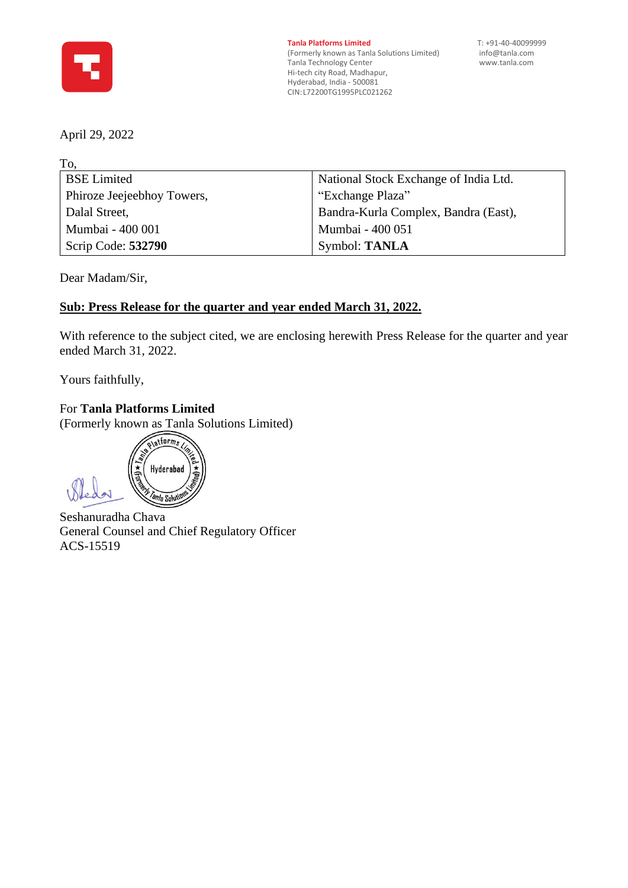

**Tanla Platforms Limited** T: +91-40-40099999<br>(Formerly known as Tanla Solutions Limited) info@tanla.com (Formerly known as Tanla Solutions Limited) [info@tanla.com](mailto:info@tanla.com)<br>Tanla Technology Center info@tanla.com Tanla Technology Center Hi-tech city Road, Madhapur, Hyderabad, India - 500081 CIN:L72200TG1995PLC021262

April 29, 2022

To,

| TO.                        |                                       |  |
|----------------------------|---------------------------------------|--|
| <b>BSE Limited</b>         | National Stock Exchange of India Ltd. |  |
| Phiroze Jeejeebhoy Towers, | "Exchange Plaza"                      |  |
| Dalal Street,              | Bandra-Kurla Complex, Bandra (East),  |  |
| Mumbai - 400 001           | Mumbai - 400 051                      |  |
| Scrip Code: 532790         | Symbol: TANLA                         |  |
|                            |                                       |  |

Dear Madam/Sir,

# **Sub: Press Release for the quarter and year ended March 31, 2022.**

With reference to the subject cited, we are enclosing herewith Press Release for the quarter and year ended March 31, 2022.

Yours faithfully,

For **Tanla Platforms Limited**

(Formerly known as Tanla Solutions Limited)

platforms Hyderabad *anla Soluti* 

Seshanuradha Chava General Counsel and Chief Regulatory Officer ACS-15519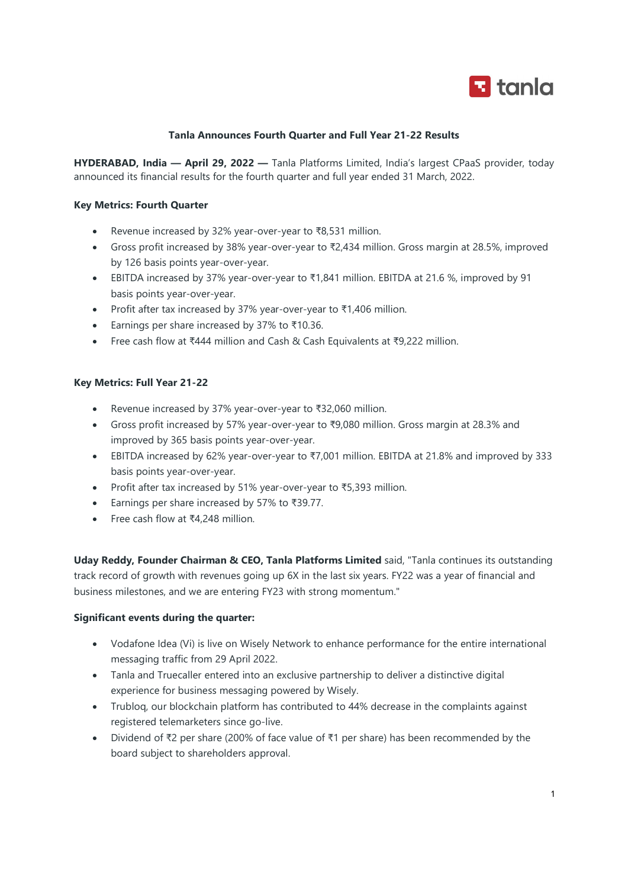

## Tanla Announces Fourth Quarter and Full Year 21-22 Results

HYDERABAD, India — April 29, 2022 — Tanla Platforms Limited, India's largest CPaaS provider, today announced its financial results for the fourth quarter and full year ended 31 March, 2022.

## Key Metrics: Fourth Quarter

- Revenue increased by 32% year-over-year to ₹8,531 million.
- Gross profit increased by 38% year-over-year to ₹2,434 million. Gross margin at 28.5%, improved by 126 basis points year-over-year.
- EBITDA increased by 37% year-over-year to ₹1,841 million. EBITDA at 21.6 %, improved by 91 basis points year-over-year.
- Profit after tax increased by 37% year-over-year to ₹1,406 million.
- Earnings per share increased by 37% to ₹10.36.
- Free cash flow at ₹444 million and Cash & Cash Equivalents at ₹9,222 million.

#### Key Metrics: Full Year 21-22

- Revenue increased by 37% year-over-year to ₹32,060 million.
- Gross profit increased by 57% year-over-year to ₹9,080 million. Gross margin at 28.3% and improved by 365 basis points year-over-year.
- EBITDA increased by 62% year-over-year to ₹7,001 million. EBITDA at 21.8% and improved by 333 basis points year-over-year.
- Profit after tax increased by 51% year-over-year to ₹5,393 million.
- Earnings per share increased by 57% to ₹39.77.
- Free cash flow at ₹4,248 million.

Uday Reddy, Founder Chairman & CEO, Tanla Platforms Limited said, "Tanla continues its outstanding track record of growth with revenues going up 6X in the last six years. FY22 was a year of financial and business milestones, and we are entering FY23 with strong momentum."

#### Significant events during the quarter:

- Vodafone Idea (Vi) is live on Wisely Network to enhance performance for the entire international messaging traffic from 29 April 2022.
- Tanla and Truecaller entered into an exclusive partnership to deliver a distinctive digital experience for business messaging powered by Wisely.
- Trubloq, our blockchain platform has contributed to 44% decrease in the complaints against registered telemarketers since go-live.
- Dividend of ₹2 per share (200% of face value of ₹1 per share) has been recommended by the board subject to shareholders approval.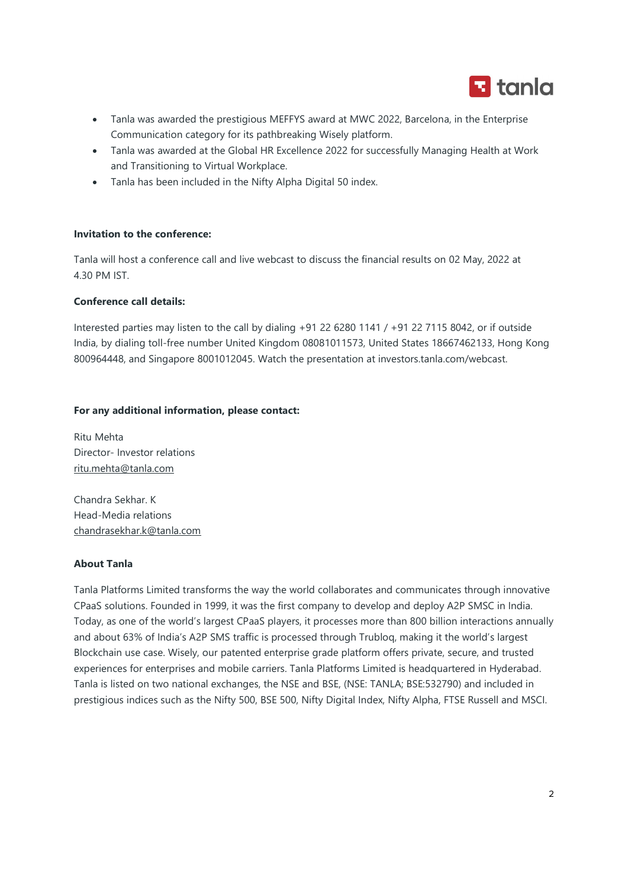

- Tanla was awarded the prestigious MEFFYS award at MWC 2022, Barcelona, in the Enterprise Communication category for its pathbreaking Wisely platform.
- Tanla was awarded at the Global HR Excellence 2022 for successfully Managing Health at Work and Transitioning to Virtual Workplace.
- Tanla has been included in the Nifty Alpha Digital 50 index.

## Invitation to the conference:

Tanla will host a conference call and live webcast to discuss the financial results on 02 May, 2022 at 4.30 PM IST.

#### Conference call details:

Interested parties may listen to the call by dialing +91 22 6280 1141 / +91 22 7115 8042, or if outside India, by dialing toll-free number United Kingdom 08081011573, United States 18667462133, Hong Kong 800964448, and Singapore 8001012045. Watch the presentation at investors.tanla.com/webcast.

## For any additional information, please contact:

Ritu Mehta Director- Investor relations ritu.mehta@tanla.com

Chandra Sekhar. K Head-Media relations chandrasekhar.k@tanla.com

## About Tanla

Tanla Platforms Limited transforms the way the world collaborates and communicates through innovative CPaaS solutions. Founded in 1999, it was the first company to develop and deploy A2P SMSC in India. Today, as one of the world's largest CPaaS players, it processes more than 800 billion interactions annually and about 63% of India's A2P SMS traffic is processed through Trubloq, making it the world's largest Blockchain use case. Wisely, our patented enterprise grade platform offers private, secure, and trusted experiences for enterprises and mobile carriers. Tanla Platforms Limited is headquartered in Hyderabad. Tanla is listed on two national exchanges, the NSE and BSE, (NSE: TANLA; BSE:532790) and included in prestigious indices such as the Nifty 500, BSE 500, Nifty Digital Index, Nifty Alpha, FTSE Russell and MSCI.